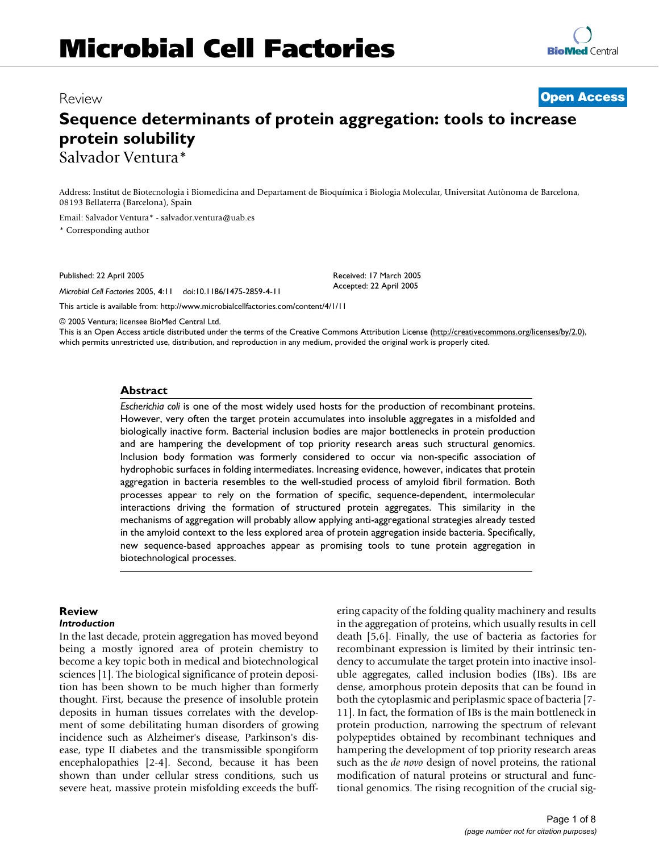# **Sequence determinants of protein aggregation: tools to increase protein solubility** Salvador Ventura\*

Address: Institut de Biotecnologia i Biomedicina and Departament de Bioquímica i Biologia Molecular, Universitat Autònoma de Barcelona, 08193 Bellaterra (Barcelona), Spain

Email: Salvador Ventura\* - salvador.ventura@uab.es

\* Corresponding author

Published: 22 April 2005

*Microbial Cell Factories* 2005, **4**:11 doi:10.1186/1475-2859-4-11

[This article is available from: http://www.microbialcellfactories.com/content/4/1/11](http://www.microbialcellfactories.com/content/4/1/11)

© 2005 Ventura; licensee BioMed Central Ltd.

This is an Open Access article distributed under the terms of the Creative Commons Attribution License [\(http://creativecommons.org/licenses/by/2.0\)](http://creativecommons.org/licenses/by/2.0), which permits unrestricted use, distribution, and reproduction in any medium, provided the original work is properly cited.

Received: 17 March 2005 Accepted: 22 April 2005

### **Abstract**

*Escherichia coli* is one of the most widely used hosts for the production of recombinant proteins. However, very often the target protein accumulates into insoluble aggregates in a misfolded and biologically inactive form. Bacterial inclusion bodies are major bottlenecks in protein production and are hampering the development of top priority research areas such structural genomics. Inclusion body formation was formerly considered to occur via non-specific association of hydrophobic surfaces in folding intermediates. Increasing evidence, however, indicates that protein aggregation in bacteria resembles to the well-studied process of amyloid fibril formation. Both processes appear to rely on the formation of specific, sequence-dependent, intermolecular interactions driving the formation of structured protein aggregates. This similarity in the mechanisms of aggregation will probably allow applying anti-aggregational strategies already tested in the amyloid context to the less explored area of protein aggregation inside bacteria. Specifically, new sequence-based approaches appear as promising tools to tune protein aggregation in biotechnological processes.

# **Review**

# *Introduction*

In the last decade, protein aggregation has moved beyond being a mostly ignored area of protein chemistry to become a key topic both in medical and biotechnological sciences [1]. The biological significance of protein deposition has been shown to be much higher than formerly thought. First, because the presence of insoluble protein deposits in human tissues correlates with the development of some debilitating human disorders of growing incidence such as Alzheimer's disease, Parkinson's disease, type II diabetes and the transmissible spongiform encephalopathies [2-4]. Second, because it has been shown than under cellular stress conditions, such us severe heat, massive protein misfolding exceeds the buffering capacity of the folding quality machinery and results in the aggregation of proteins, which usually results in cell death [5,6]. Finally, the use of bacteria as factories for recombinant expression is limited by their intrinsic tendency to accumulate the target protein into inactive insoluble aggregates, called inclusion bodies (IBs). IBs are dense, amorphous protein deposits that can be found in both the cytoplasmic and periplasmic space of bacteria [7- 11]. In fact, the formation of IBs is the main bottleneck in protein production, narrowing the spectrum of relevant polypeptides obtained by recombinant techniques and hampering the development of top priority research areas such as the *de novo* design of novel proteins, the rational modification of natural proteins or structural and functional genomics. The rising recognition of the crucial sig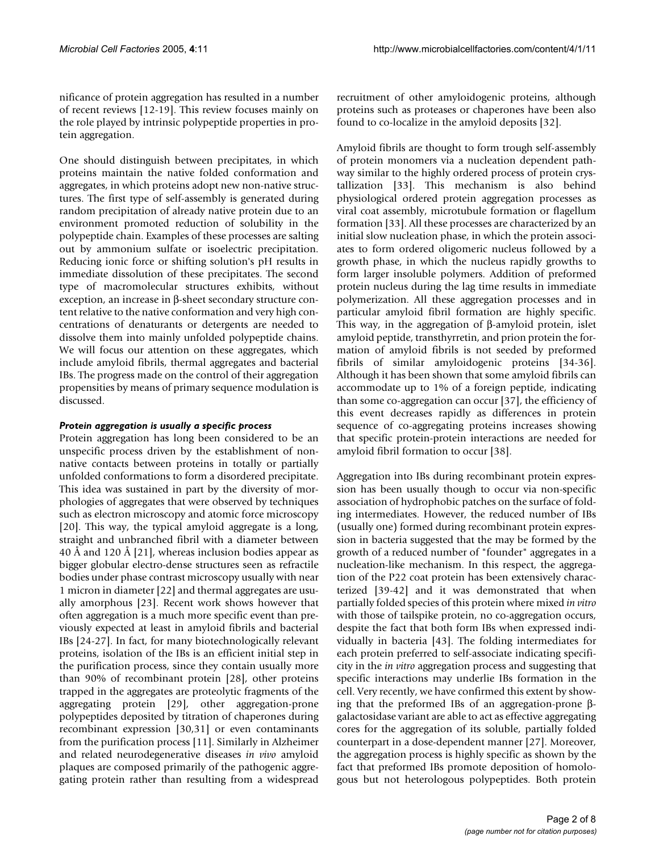nificance of protein aggregation has resulted in a number of recent reviews [12-19]. This review focuses mainly on the role played by intrinsic polypeptide properties in protein aggregation.

One should distinguish between precipitates, in which proteins maintain the native folded conformation and aggregates, in which proteins adopt new non-native structures. The first type of self-assembly is generated during random precipitation of already native protein due to an environment promoted reduction of solubility in the polypeptide chain. Examples of these processes are salting out by ammonium sulfate or isoelectric precipitation. Reducing ionic force or shifting solution's pH results in immediate dissolution of these precipitates. The second type of macromolecular structures exhibits, without exception, an increase in β-sheet secondary structure content relative to the native conformation and very high concentrations of denaturants or detergents are needed to dissolve them into mainly unfolded polypeptide chains. We will focus our attention on these aggregates, which include amyloid fibrils, thermal aggregates and bacterial IBs. The progress made on the control of their aggregation propensities by means of primary sequence modulation is discussed.

### *Protein aggregation is usually a specific process*

Protein aggregation has long been considered to be an unspecific process driven by the establishment of nonnative contacts between proteins in totally or partially unfolded conformations to form a disordered precipitate. This idea was sustained in part by the diversity of morphologies of aggregates that were observed by techniques such as electron microscopy and atomic force microscopy [20]. This way, the typical amyloid aggregate is a long, straight and unbranched fibril with a diameter between 40 Å and 120 Å [21], whereas inclusion bodies appear as bigger globular electro-dense structures seen as refractile bodies under phase contrast microscopy usually with near 1 micron in diameter [[22\]](#page-5-0) and thermal aggregates are usually amorphous [23]. Recent work shows however that often aggregation is a much more specific event than previously expected at least in amyloid fibrils and bacterial IBs [24-27]. In fact, for many biotechnologically relevant proteins, isolation of the IBs is an efficient initial step in the purification process, since they contain usually more than 90% of recombinant protein [28], other proteins trapped in the aggregates are proteolytic fragments of the aggregating protein [29], other aggregation-prone polypeptides deposited by titration of chaperones during recombinant expression [30,31] or even contaminants from the purification process [11]. Similarly in Alzheimer and related neurodegenerative diseases *in vivo* amyloid plaques are composed primarily of the pathogenic aggregating protein rather than resulting from a widespread

recruitment of other amyloidogenic proteins, although proteins such as proteases or chaperones have been also found to co-localize in the amyloid deposits [32].

Amyloid fibrils are thought to form trough self-assembly of protein monomers via a nucleation dependent pathway similar to the highly ordered process of protein crystallization [33]. This mechanism is also behind physiological ordered protein aggregation processes as viral coat assembly, microtubule formation or flagellum formation [33]. All these processes are characterized by an initial slow nucleation phase, in which the protein associates to form ordered oligomeric nucleus followed by a growth phase, in which the nucleus rapidly growths to form larger insoluble polymers. Addition of preformed protein nucleus during the lag time results in immediate polymerization. All these aggregation processes and in particular amyloid fibril formation are highly specific. This way, in the aggregation of β-amyloid protein, islet amyloid peptide, transthyrretin, and prion protein the formation of amyloid fibrils is not seeded by preformed fibrils of similar amyloidogenic proteins [34-36]. Although it has been shown that some amyloid fibrils can accommodate up to 1% of a foreign peptide, indicating than some co-aggregation can occur [37], the efficiency of this event decreases rapidly as differences in protein sequence of co-aggregating proteins increases showing that specific protein-protein interactions are needed for amyloid fibril formation to occur [38].

Aggregation into IBs during recombinant protein expression has been usually though to occur via non-specific association of hydrophobic patches on the surface of folding intermediates. However, the reduced number of IBs (usually one) formed during recombinant protein expression in bacteria suggested that the may be formed by the growth of a reduced number of "founder" aggregates in a nucleation-like mechanism. In this respect, the aggregation of the P22 coat protein has been extensively characterized [39-42] and it was demonstrated that when partially folded species of this protein where mixed *in vitro* with those of tailspike protein, no co-aggregation occurs, despite the fact that both form IBs when expressed individually in bacteria [43]. The folding intermediates for each protein preferred to self-associate indicating specificity in the *in vitro* aggregation process and suggesting that specific interactions may underlie IBs formation in the cell. Very recently, we have confirmed this extent by showing that the preformed IBs of an aggregation-prone βgalactosidase variant are able to act as effective aggregating cores for the aggregation of its soluble, partially folded counterpart in a dose-dependent manner [27]. Moreover, the aggregation process is highly specific as shown by the fact that preformed IBs promote deposition of homologous but not heterologous polypeptides. Both protein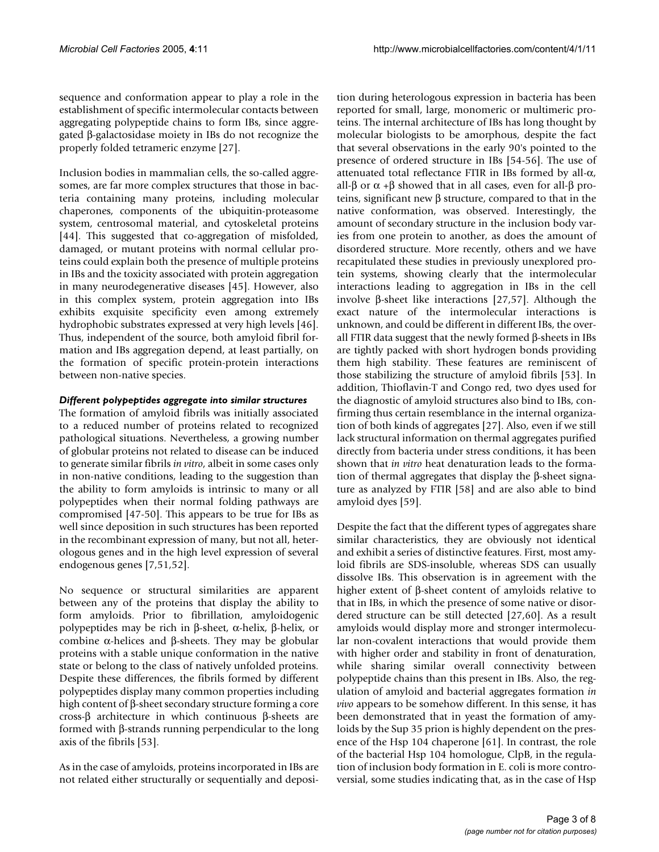sequence and conformation appear to play a role in the establishment of specific intermolecular contacts between aggregating polypeptide chains to form IBs, since aggregated β-galactosidase moiety in IBs do not recognize the properly folded tetrameric enzyme [27].

Inclusion bodies in mammalian cells, the so-called aggresomes, are far more complex structures that those in bacteria containing many proteins, including molecular chaperones, components of the ubiquitin-proteasome system, centrosomal material, and cytoskeletal proteins [44]. This suggested that co-aggregation of misfolded, damaged, or mutant proteins with normal cellular proteins could explain both the presence of multiple proteins in IBs and the toxicity associated with protein aggregation in many neurodegenerative diseases [45]. However, also in this complex system, protein aggregation into IBs exhibits exquisite specificity even among extremely hydrophobic substrates expressed at very high levels [46]. Thus, independent of the source, both amyloid fibril formation and IBs aggregation depend, at least partially, on the formation of specific protein-protein interactions between non-native species.

## *Different polypeptides aggregate into similar structures*

The formation of amyloid fibrils was initially associated to a reduced number of proteins related to recognized pathological situations. Nevertheless, a growing number of globular proteins not related to disease can be induced to generate similar fibrils *in vitro*, albeit in some cases only in non-native conditions, leading to the suggestion than the ability to form amyloids is intrinsic to many or all polypeptides when their normal folding pathways are compromised [47-50]. This appears to be true for IBs as well since deposition in such structures has been reported in the recombinant expression of many, but not all, heterologous genes and in the high level expression of several endogenous genes [7,51,52].

No sequence or structural similarities are apparent between any of the proteins that display the ability to form amyloids. Prior to fibrillation, amyloidogenic polypeptides may be rich in β-sheet, α-helix, β-helix, or combine α-helices and β-sheets. They may be globular proteins with a stable unique conformation in the native state or belong to the class of natively unfolded proteins. Despite these differences, the fibrils formed by different polypeptides display many common properties including high content of β-sheet secondary structure forming a core cross-β architecture in which continuous β-sheets are formed with β-strands running perpendicular to the long axis of the fibrils [53].

As in the case of amyloids, proteins incorporated in IBs are not related either structurally or sequentially and deposition during heterologous expression in bacteria has been reported for small, large, monomeric or multimeric proteins. The internal architecture of IBs has long thought by molecular biologists to be amorphous, despite the fact that several observations in the early 90's pointed to the presence of ordered structure in IBs [54-56]. The use of attenuated total reflectance FTIR in IBs formed by all-α, all- $\beta$  or  $\alpha$  + $\beta$  showed that in all cases, even for all- $\beta$  proteins, significant new β structure, compared to that in the native conformation, was observed. Interestingly, the amount of secondary structure in the inclusion body varies from one protein to another, as does the amount of disordered structure. More recently, others and we have recapitulated these studies in previously unexplored protein systems, showing clearly that the intermolecular interactions leading to aggregation in IBs in the cell involve β-sheet like interactions [27,[57\]](#page-6-0). Although the exact nature of the intermolecular interactions is unknown, and could be different in different IBs, the overall FTIR data suggest that the newly formed β-sheets in IBs are tightly packed with short hydrogen bonds providing them high stability. These features are reminiscent of those stabilizing the structure of amyloid fibrils [53]. In addition, Thioflavin-T and Congo red, two dyes used for the diagnostic of amyloid structures also bind to IBs, confirming thus certain resemblance in the internal organization of both kinds of aggregates [27]. Also, even if we still lack structural information on thermal aggregates purified directly from bacteria under stress conditions, it has been shown that *in vitro* heat denaturation leads to the formation of thermal aggregates that display the β-sheet signature as analyzed by FTIR [58] and are also able to bind amyloid dyes [59].

Despite the fact that the different types of aggregates share similar characteristics, they are obviously not identical and exhibit a series of distinctive features. First, most amyloid fibrils are SDS-insoluble, whereas SDS can usually dissolve IBs. This observation is in agreement with the higher extent of β-sheet content of amyloids relative to that in IBs, in which the presence of some native or disordered structure can be still detected [27,60]. As a result amyloids would display more and stronger intermolecular non-covalent interactions that would provide them with higher order and stability in front of denaturation, while sharing similar overall connectivity between polypeptide chains than this present in IBs. Also, the regulation of amyloid and bacterial aggregates formation *in vivo* appears to be somehow different. In this sense, it has been demonstrated that in yeast the formation of amyloids by the Sup 35 prion is highly dependent on the presence of the Hsp 104 chaperone [61]. In contrast, the role of the bacterial Hsp 104 homologue, ClpB, in the regulation of inclusion body formation in E. coli is more controversial, some studies indicating that, as in the case of Hsp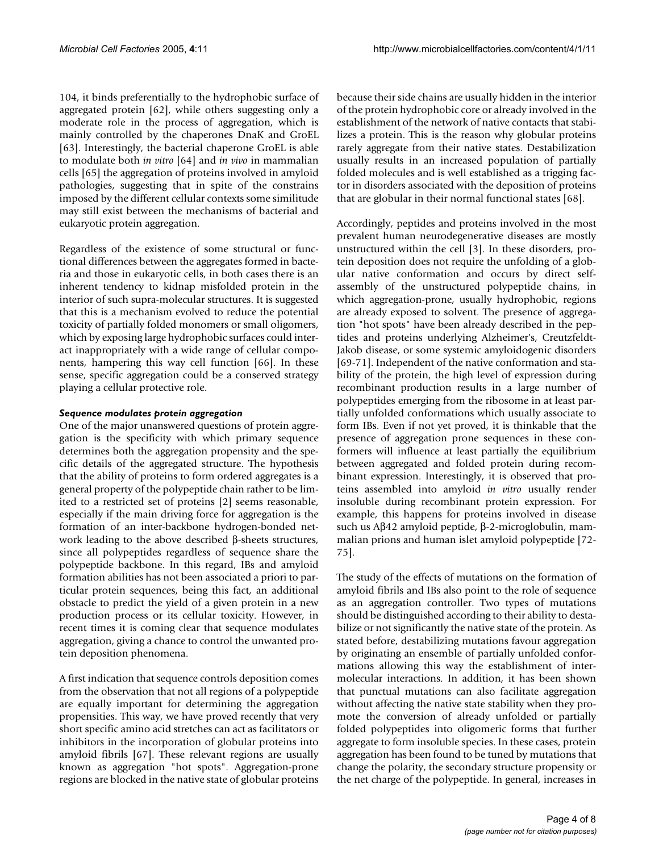104, it binds preferentially to the hydrophobic surface of aggregated protein [62], while others suggesting only a moderate role in the process of aggregation, which is mainly controlled by the chaperones DnaK and GroEL [63]. Interestingly, the bacterial chaperone GroEL is able to modulate both *in vitro* [64] and *in vivo* in mammalian cells [65] the aggregation of proteins involved in amyloid pathologies, suggesting that in spite of the constrains imposed by the different cellular contexts some similitude may still exist between the mechanisms of bacterial and eukaryotic protein aggregation.

Regardless of the existence of some structural or functional differences between the aggregates formed in bacteria and those in eukaryotic cells, in both cases there is an inherent tendency to kidnap misfolded protein in the interior of such supra-molecular structures. It is suggested that this is a mechanism evolved to reduce the potential toxicity of partially folded monomers or small oligomers, which by exposing large hydrophobic surfaces could interact inappropriately with a wide range of cellular components, hampering this way cell function [66]. In these sense, specific aggregation could be a conserved strategy playing a cellular protective role.

## *Sequence modulates protein aggregation*

One of the major unanswered questions of protein aggregation is the specificity with which primary sequence determines both the aggregation propensity and the specific details of the aggregated structure. The hypothesis that the ability of proteins to form ordered aggregates is a general property of the polypeptide chain rather to be limited to a restricted set of proteins [2] seems reasonable, especially if the main driving force for aggregation is the formation of an inter-backbone hydrogen-bonded network leading to the above described β-sheets structures, since all polypeptides regardless of sequence share the polypeptide backbone. In this regard, IBs and amyloid formation abilities has not been associated a priori to particular protein sequences, being this fact, an additional obstacle to predict the yield of a given protein in a new production process or its cellular toxicity. However, in recent times it is coming clear that sequence modulates aggregation, giving a chance to control the unwanted protein deposition phenomena.

A first indication that sequence controls deposition comes from the observation that not all regions of a polypeptide are equally important for determining the aggregation propensities. This way, we have proved recently that very short specific amino acid stretches can act as facilitators or inhibitors in the incorporation of globular proteins into amyloid fibrils [67]. These relevant regions are usually known as aggregation "hot spots". Aggregation-prone regions are blocked in the native state of globular proteins

because their side chains are usually hidden in the interior of the protein hydrophobic core or already involved in the establishment of the network of native contacts that stabilizes a protein. This is the reason why globular proteins rarely aggregate from their native states. Destabilization usually results in an increased population of partially folded molecules and is well established as a trigging factor in disorders associated with the deposition of proteins that are globular in their normal functional states [68].

Accordingly, peptides and proteins involved in the most prevalent human neurodegenerative diseases are mostly unstructured within the cell [3]. In these disorders, protein deposition does not require the unfolding of a globular native conformation and occurs by direct selfassembly of the unstructured polypeptide chains, in which aggregation-prone, usually hydrophobic, regions are already exposed to solvent. The presence of aggregation "hot spots" have been already described in the peptides and proteins underlying Alzheimer's, Creutzfeldt-Jakob disease, or some systemic amyloidogenic disorders [69-71]. Independent of the native conformation and stability of the protein, the high level of expression during recombinant production results in a large number of polypeptides emerging from the ribosome in at least partially unfolded conformations which usually associate to form IBs. Even if not yet proved, it is thinkable that the presence of aggregation prone sequences in these conformers will influence at least partially the equilibrium between aggregated and folded protein during recombinant expression. Interestingly, it is observed that proteins assembled into amyloid *in vitro* usually render insoluble during recombinant protein expression. For example, this happens for proteins involved in disease such us Aβ42 amyloid peptide, β-2-microglobulin, mammalian prions and human islet amyloid polypeptide [72- 75].

The study of the effects of mutations on the formation of amyloid fibrils and IBs also point to the role of sequence as an aggregation controller. Two types of mutations should be distinguished according to their ability to destabilize or not significantly the native state of the protein. As stated before, destabilizing mutations favour aggregation by originating an ensemble of partially unfolded conformations allowing this way the establishment of intermolecular interactions. In addition, it has been shown that punctual mutations can also facilitate aggregation without affecting the native state stability when they promote the conversion of already unfolded or partially folded polypeptides into oligomeric forms that further aggregate to form insoluble species. In these cases, protein aggregation has been found to be tuned by mutations that change the polarity, the secondary structure propensity or the net charge of the polypeptide. In general, increases in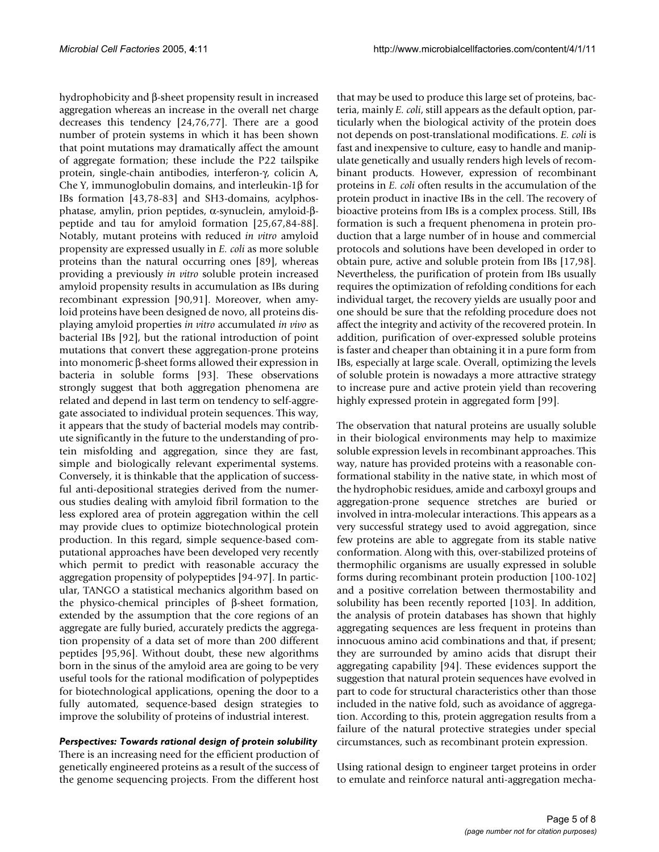hydrophobicity and β-sheet propensity result in increased aggregation whereas an increase in the overall net charge decreases this tendency [24,76,77]. There are a good number of protein systems in which it has been shown that point mutations may dramatically affect the amount of aggregate formation; these include the P22 tailspike protein, single-chain antibodies, interferon-γ, colicin A, Che Y, immunoglobulin domains, and interleukin-1β for IBs formation [43,78-83] and SH3-domains, acylphosphatase, amylin, prion peptides, α-synuclein, amyloid-βpeptide and tau for amyloid formation [25,67,84-88]. Notably, mutant proteins with reduced *in vitro* amyloid propensity are expressed usually in *E. coli* as more soluble proteins than the natural occurring ones [89], whereas providing a previously *in vitro* soluble protein increased amyloid propensity results in accumulation as IBs during recombinant expression [90,91]. Moreover, when amyloid proteins have been designed de novo, all proteins displaying amyloid properties *in vitro* accumulated *in vivo* as bacterial IBs [92], but the rational introduction of point mutations that convert these aggregation-prone proteins into monomeric β-sheet forms allowed their expression in bacteria in soluble forms [93]. These observations strongly suggest that both aggregation phenomena are related and depend in last term on tendency to self-aggregate associated to individual protein sequences. This way, it appears that the study of bacterial models may contribute significantly in the future to the understanding of protein misfolding and aggregation, since they are fast, simple and biologically relevant experimental systems. Conversely, it is thinkable that the application of successful anti-depositional strategies derived from the numerous studies dealing with amyloid fibril formation to the less explored area of protein aggregation within the cell may provide clues to optimize biotechnological protein production. In this regard, simple sequence-based computational approaches have been developed very recently which permit to predict with reasonable accuracy the aggregation propensity of polypeptides [94-97]. In particular, TANGO a statistical mechanics algorithm based on the physico-chemical principles of β-sheet formation, extended by the assumption that the core regions of an aggregate are fully buried, accurately predicts the aggregation propensity of a data set of more than 200 different peptides [95,96]. Without doubt, these new algorithms born in the sinus of the amyloid area are going to be very useful tools for the rational modification of polypeptides for biotechnological applications, opening the door to a fully automated, sequence-based design strategies to improve the solubility of proteins of industrial interest.

### *Perspectives: Towards rational design of protein solubility*

There is an increasing need for the efficient production of genetically engineered proteins as a result of the success of the genome sequencing projects. From the different host

that may be used to produce this large set of proteins, bacteria, mainly *E. coli*, still appears as the default option, particularly when the biological activity of the protein does not depends on post-translational modifications. *E. coli* is fast and inexpensive to culture, easy to handle and manipulate genetically and usually renders high levels of recombinant products. However, expression of recombinant proteins in *E. coli* often results in the accumulation of the protein product in inactive IBs in the cell. The recovery of bioactive proteins from IBs is a complex process. Still, IBs formation is such a frequent phenomena in protein production that a large number of in house and commercial protocols and solutions have been developed in order to obtain pure, active and soluble protein from IBs [17,98]. Nevertheless, the purification of protein from IBs usually requires the optimization of refolding conditions for each individual target, the recovery yields are usually poor and one should be sure that the refolding procedure does not affect the integrity and activity of the recovered protein. In addition, purification of over-expressed soluble proteins is faster and cheaper than obtaining it in a pure form from IBs, especially at large scale. Overall, optimizing the levels of soluble protein is nowadays a more attractive strategy to increase pure and active protein yield than recovering highly expressed protein in aggregated form [99].

The observation that natural proteins are usually soluble in their biological environments may help to maximize soluble expression levels in recombinant approaches. This way, nature has provided proteins with a reasonable conformational stability in the native state, in which most of the hydrophobic residues, amide and carboxyl groups and aggregation-prone sequence stretches are buried or involved in intra-molecular interactions. This appears as a very successful strategy used to avoid aggregation, since few proteins are able to aggregate from its stable native conformation. Along with this, over-stabilized proteins of thermophilic organisms are usually expressed in soluble forms during recombinant protein production [100-102] and a positive correlation between thermostability and solubility has been recently reported [103]. In addition, the analysis of protein databases has shown that highly aggregating sequences are less frequent in proteins than innocuous amino acid combinations and that, if present; they are surrounded by amino acids that disrupt their aggregating capability [94]. These evidences support the suggestion that natural protein sequences have evolved in part to code for structural characteristics other than those included in the native fold, such as avoidance of aggregation. According to this, protein aggregation results from a failure of the natural protective strategies under special circumstances, such as recombinant protein expression.

Using rational design to engineer target proteins in order to emulate and reinforce natural anti-aggregation mecha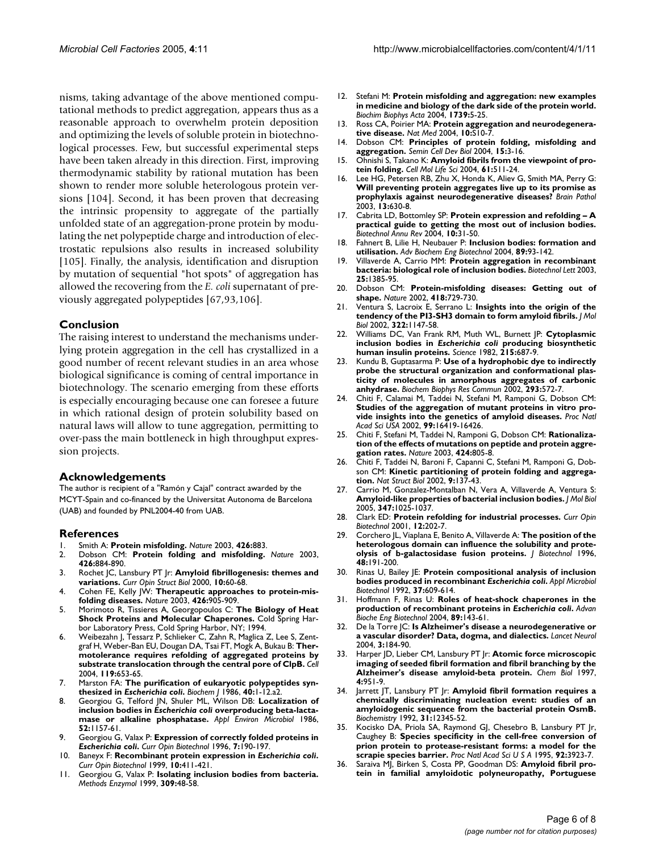nisms, taking advantage of the above mentioned computational methods to predict aggregation, appears thus as a reasonable approach to overwhelm protein deposition and optimizing the levels of soluble protein in biotechnological processes. Few, but successful experimental steps have been taken already in this direction. First, improving thermodynamic stability by rational mutation has been shown to render more soluble heterologous protein versions [104]. Second, it has been proven that decreasing the intrinsic propensity to aggregate of the partially unfolded state of an aggregation-prone protein by modulating the net polypeptide charge and introduction of electrostatic repulsions also results in increased solubility [105]. Finally, the analysis, identification and disruption by mutation of sequential "hot spots" of aggregation has allowed the recovering from the *E. coli* supernatant of previously aggregated polypeptides [67,93,106].

#### **Conclusion**

The raising interest to understand the mechanisms underlying protein aggregation in the cell has crystallized in a good number of recent relevant studies in an area whose biological significance is coming of central importance in biotechnology. The scenario emerging from these efforts is especially encouraging because one can foresee a future in which rational design of protein solubility based on natural laws will allow to tune aggregation, permitting to over-pass the main bottleneck in high throughput expression projects.

#### **Acknowledgements**

The author is recipient of a "Ramón y Cajal" contract awarded by the MCYT-Spain and co-financed by the Universitat Autonoma de Barcelona (UAB) and founded by PNL2004-40 from UAB.

#### **References**

- 1. Smith A: **Protein misfolding.** *Nature* 2003, **426:**883.
- 2. Dobson CM: **[Protein folding and misfolding.](http://www.ncbi.nlm.nih.gov/entrez/query.fcgi?cmd=Retrieve&db=PubMed&dopt=Abstract&list_uids=14685248)** *Nature* 2003, **426:**884-890.
- 3. Rochet JC, Lansbury PT Jr: **[Amyloid fibrillogenesis: themes and](http://www.ncbi.nlm.nih.gov/entrez/query.fcgi?cmd=Retrieve&db=PubMed&dopt=Abstract&list_uids=10679462) [variations.](http://www.ncbi.nlm.nih.gov/entrez/query.fcgi?cmd=Retrieve&db=PubMed&dopt=Abstract&list_uids=10679462)** *Curr Opin Struct Biol* 2000, **10:**60-68.
- 4. Cohen FE, Kelly JW: **[Therapeutic approaches to protein-mis](http://www.ncbi.nlm.nih.gov/entrez/query.fcgi?cmd=Retrieve&db=PubMed&dopt=Abstract&list_uids=14685252)[folding diseases.](http://www.ncbi.nlm.nih.gov/entrez/query.fcgi?cmd=Retrieve&db=PubMed&dopt=Abstract&list_uids=14685252)** *Nature* 2003, **426:**905-909.
- 5. Morimoto R, Tissieres A, Georgopoulos C: **The Biology of Heat Shock Proteins and Molecular Chaperones.** Cold Spring Harbor Laboratory Press, Cold Spring Harbor, NY; 1994.
- 6. Weibezahn J, Tessarz P, Schlieker C, Zahn R, Maglica Z, Lee S, Zentgraf H, Weber-Ban EU, Dougan DA, Tsai FT, Mogk A, Bukau B: **[Ther](http://www.ncbi.nlm.nih.gov/entrez/query.fcgi?cmd=Retrieve&db=PubMed&dopt=Abstract&list_uids=15550247)[motolerance requires refolding of aggregated proteins by](http://www.ncbi.nlm.nih.gov/entrez/query.fcgi?cmd=Retrieve&db=PubMed&dopt=Abstract&list_uids=15550247) [substrate translocation through the central pore of ClpB.](http://www.ncbi.nlm.nih.gov/entrez/query.fcgi?cmd=Retrieve&db=PubMed&dopt=Abstract&list_uids=15550247)** *Cell* 2004, **119:**653-65.
- 7. Marston FA: **The purification of eukaryotic polypeptides synthesized in** *Escherichia coli***.** *Biochem J* 1986, **40:**1-12.a2.
- 8. Georgiou G, Telford JN, Shuler ML, Wilson DB: **Localization of inclusion bodies in** *Escherichia coli* **[overproducing beta-lacta](http://www.ncbi.nlm.nih.gov/entrez/query.fcgi?cmd=Retrieve&db=PubMed&dopt=Abstract&list_uids=3539017)[mase or alkaline phosphatase.](http://www.ncbi.nlm.nih.gov/entrez/query.fcgi?cmd=Retrieve&db=PubMed&dopt=Abstract&list_uids=3539017)** *Appl Environ Microbiol* 1986, **52:**1157-61.
- 9. Georgiou G, Valax P: **Expression of correctly folded proteins in** *Escherichia coli***[.](http://www.ncbi.nlm.nih.gov/entrez/query.fcgi?cmd=Retrieve&db=PubMed&dopt=Abstract&list_uids=8791338)** *Curr Opin Biotechnol* 1996, **7:**190-197.
- 10. Baneyx F: **Recombinant protein expression in** *Escherichia coli***[.](http://www.ncbi.nlm.nih.gov/entrez/query.fcgi?cmd=Retrieve&db=PubMed&dopt=Abstract&list_uids=10508629)** *Curr Opin Biotechnol* 1999, **10:**411-421.
- 11. Georgiou G, Valax P: **[Isolating inclusion bodies from bacteria.](http://www.ncbi.nlm.nih.gov/entrez/query.fcgi?cmd=Retrieve&db=PubMed&dopt=Abstract&list_uids=10507015)** *Methods Enzymol* 1999, **309:**48-58.
- 12. Stefani M: **[Protein misfolding and aggregation: new examples](http://www.ncbi.nlm.nih.gov/entrez/query.fcgi?cmd=Retrieve&db=PubMed&dopt=Abstract&list_uids=15607113) [in medicine and biology of the dark side of the protein world.](http://www.ncbi.nlm.nih.gov/entrez/query.fcgi?cmd=Retrieve&db=PubMed&dopt=Abstract&list_uids=15607113)** *Biochim Biophys Acta* 2004, **1739:**5-25.
- 13. Ross CA, Poirier MA: **[Protein aggregation and neurodegenera](http://www.ncbi.nlm.nih.gov/entrez/query.fcgi?cmd=Retrieve&db=PubMed&dopt=Abstract&list_uids=15272267)[tive disease.](http://www.ncbi.nlm.nih.gov/entrez/query.fcgi?cmd=Retrieve&db=PubMed&dopt=Abstract&list_uids=15272267)** *Nat Med* 2004, **10:**S10-7.
- 14. Dobson CM: **[Principles of protein folding, misfolding and](http://www.ncbi.nlm.nih.gov/entrez/query.fcgi?cmd=Retrieve&db=PubMed&dopt=Abstract&list_uids=15036202) [aggregation.](http://www.ncbi.nlm.nih.gov/entrez/query.fcgi?cmd=Retrieve&db=PubMed&dopt=Abstract&list_uids=15036202)** *Semin Cell Dev Biol* 2004, **15:**3-16.
- 15. Ohnishi S, Takano K: **[Amyloid fibrils from the viewpoint of pro](http://www.ncbi.nlm.nih.gov/entrez/query.fcgi?cmd=Retrieve&db=PubMed&dopt=Abstract&list_uids=15004691)[tein folding.](http://www.ncbi.nlm.nih.gov/entrez/query.fcgi?cmd=Retrieve&db=PubMed&dopt=Abstract&list_uids=15004691)** *Cell Mol Life Sci* 2004, **61:**511-24.
- 16. Lee HG, Petersen RB, Zhu X, Honda K, Aliev G, Smith MA, Perry G: **[Will preventing protein aggregates live up to its promise as](http://www.ncbi.nlm.nih.gov/entrez/query.fcgi?cmd=Retrieve&db=PubMed&dopt=Abstract&list_uids=14655766) [prophylaxis against neurodegenerative diseases?](http://www.ncbi.nlm.nih.gov/entrez/query.fcgi?cmd=Retrieve&db=PubMed&dopt=Abstract&list_uids=14655766)** *Brain Pathol* 2003, **13:**630-8.
- 17. Cabrita LD, Bottomley SP: **[Protein expression and refolding A](http://www.ncbi.nlm.nih.gov/entrez/query.fcgi?cmd=Retrieve&db=PubMed&dopt=Abstract&list_uids=15504702) [practical guide to getting the most out of inclusion bodies.](http://www.ncbi.nlm.nih.gov/entrez/query.fcgi?cmd=Retrieve&db=PubMed&dopt=Abstract&list_uids=15504702)** *Biotechnol Annu Rev* 2004, **10:**31-50.
- 18. Fahnert B, Lilie H, Neubauer P: **[Inclusion bodies: formation and](http://www.ncbi.nlm.nih.gov/entrez/query.fcgi?cmd=Retrieve&db=PubMed&dopt=Abstract&list_uids=15217157) [utilisation.](http://www.ncbi.nlm.nih.gov/entrez/query.fcgi?cmd=Retrieve&db=PubMed&dopt=Abstract&list_uids=15217157)** *Adv Biochem Eng Biotechnol* 2004, **89:**93-142.
- 19. Villaverde A, Carrio MM: **[Protein aggregation in recombinant](http://www.ncbi.nlm.nih.gov/entrez/query.fcgi?cmd=Retrieve&db=PubMed&dopt=Abstract&list_uids=14514038) [bacteria: biological role of inclusion bodies.](http://www.ncbi.nlm.nih.gov/entrez/query.fcgi?cmd=Retrieve&db=PubMed&dopt=Abstract&list_uids=14514038)** *Biotechnol Lett* 2003, **25:**1385-95.
- 20. Dobson CM: **[Protein-misfolding diseases: Getting out of](http://www.ncbi.nlm.nih.gov/entrez/query.fcgi?cmd=Retrieve&db=PubMed&dopt=Abstract&list_uids=12181546) [shape.](http://www.ncbi.nlm.nih.gov/entrez/query.fcgi?cmd=Retrieve&db=PubMed&dopt=Abstract&list_uids=12181546)** *Nature* 2002, **418:**729-730.
- 21. Ventura S, Lacroix E, Serrano L: **[Insights into the origin of the](http://www.ncbi.nlm.nih.gov/entrez/query.fcgi?cmd=Retrieve&db=PubMed&dopt=Abstract&list_uids=12367534) [tendency of the PI3-SH3 domain to form amyloid fibrils.](http://www.ncbi.nlm.nih.gov/entrez/query.fcgi?cmd=Retrieve&db=PubMed&dopt=Abstract&list_uids=12367534)** *J Mol Biol* 2002, **322:**1147-58.
- <span id="page-5-0"></span>22. Williams DC, Van Frank RM, Muth WL, Burnett JP: **Cytoplasmic inclusion bodies in** *Escherichia coli* **[producing biosynthetic](http://www.ncbi.nlm.nih.gov/entrez/query.fcgi?cmd=Retrieve&db=PubMed&dopt=Abstract&list_uids=7036343) [human insulin proteins.](http://www.ncbi.nlm.nih.gov/entrez/query.fcgi?cmd=Retrieve&db=PubMed&dopt=Abstract&list_uids=7036343)** *Science* 1982, **215:**687-9.
- 23. Kundu B, Guptasarma P: **[Use of a hydrophobic dye to indirectly](http://www.ncbi.nlm.nih.gov/entrez/query.fcgi?cmd=Retrieve&db=PubMed&dopt=Abstract&list_uids=12054640) probe the structural organization and conformational plas[ticity of molecules in amorphous aggregates of carbonic](http://www.ncbi.nlm.nih.gov/entrez/query.fcgi?cmd=Retrieve&db=PubMed&dopt=Abstract&list_uids=12054640) [anhydrase.](http://www.ncbi.nlm.nih.gov/entrez/query.fcgi?cmd=Retrieve&db=PubMed&dopt=Abstract&list_uids=12054640)** *Biochem Biophys Res Commun* 2002, **293:**572-7.
- 24. Chiti F, Calamai M, Taddei N, Stefani M, Ramponi G, Dobson CM: **[Studies of the aggregation of mutant proteins in vitro pro](http://www.ncbi.nlm.nih.gov/entrez/query.fcgi?cmd=Retrieve&db=PubMed&dopt=Abstract&list_uids=12374855)[vide insights into the genetics of amyloid diseases.](http://www.ncbi.nlm.nih.gov/entrez/query.fcgi?cmd=Retrieve&db=PubMed&dopt=Abstract&list_uids=12374855)** *Proc Natl Acad Sci USA* 2002, **99:**16419-16426.
- 25. Chiti F, Stefani M, Taddei N, Ramponi G, Dobson CM: **[Rationaliza](http://www.ncbi.nlm.nih.gov/entrez/query.fcgi?cmd=Retrieve&db=PubMed&dopt=Abstract&list_uids=12917692)[tion of the effects of mutations on peptide and protein aggre](http://www.ncbi.nlm.nih.gov/entrez/query.fcgi?cmd=Retrieve&db=PubMed&dopt=Abstract&list_uids=12917692)[gation rates.](http://www.ncbi.nlm.nih.gov/entrez/query.fcgi?cmd=Retrieve&db=PubMed&dopt=Abstract&list_uids=12917692)** *Nature* 2003, **424:**805-8.
- 26. Chiti F, Taddei N, Baroni F, Capanni C, Stefani M, Ramponi G, Dobson CM: **[Kinetic partitioning of protein folding and aggrega](http://www.ncbi.nlm.nih.gov/entrez/query.fcgi?cmd=Retrieve&db=PubMed&dopt=Abstract&list_uids=11799398)[tion.](http://www.ncbi.nlm.nih.gov/entrez/query.fcgi?cmd=Retrieve&db=PubMed&dopt=Abstract&list_uids=11799398)** *Nat Struct Biol* 2002, **9:**137-43.
- 27. Carrio M, Gonzalez-Montalban N, Vera A, Villaverde A, Ventura S: **[Amyloid-like properties of bacterial inclusion bodies.](http://www.ncbi.nlm.nih.gov/entrez/query.fcgi?cmd=Retrieve&db=PubMed&dopt=Abstract&list_uids=15784261)** *J Mol Biol* 2005, **347:**1025-1037.
- 28. Clark ED: **[Protein refolding for industrial processes.](http://www.ncbi.nlm.nih.gov/entrez/query.fcgi?cmd=Retrieve&db=PubMed&dopt=Abstract&list_uids=11287238)** *Curr Opin Biotechnol* 2001, **12:**202-7.
- 29. Corchero JL, Viaplana E, Benito A, Villaverde A: **[The position of the](http://www.ncbi.nlm.nih.gov/entrez/query.fcgi?cmd=Retrieve&db=PubMed&dopt=Abstract&list_uids=8861998) [heterologous domain can influence the solubility and prote](http://www.ncbi.nlm.nih.gov/entrez/query.fcgi?cmd=Retrieve&db=PubMed&dopt=Abstract&list_uids=8861998)[olysis of b-galactosidase fusion proteins.](http://www.ncbi.nlm.nih.gov/entrez/query.fcgi?cmd=Retrieve&db=PubMed&dopt=Abstract&list_uids=8861998)** *J Biotechnol* 1996, **48:**191-200.
- 30. Rinas U, Bailey JE: **Protein compositional analysis of inclusion bodies produced in recombinant** *Escherichia coli***[.](http://www.ncbi.nlm.nih.gov/entrez/query.fcgi?cmd=Retrieve&db=PubMed&dopt=Abstract&list_uids=1369400)** *Appl Microbiol Biotechnol* 1992, **37:**609-614.
- 31. Hoffmann F, Rinas U: **Roles of heat-shock chaperones in the production of recombinant proteins in** *Escherichia coli***.** *Advan Bioche Eng Biotechnol* 2004, **89:**143-61.
- 32. De la Torre JC: **[Is Alzheimer's disease a neurodegenerative or](http://www.ncbi.nlm.nih.gov/entrez/query.fcgi?cmd=Retrieve&db=PubMed&dopt=Abstract&list_uids=14980533) [a vascular disorder? Data, dogma, and dialectics.](http://www.ncbi.nlm.nih.gov/entrez/query.fcgi?cmd=Retrieve&db=PubMed&dopt=Abstract&list_uids=14980533)** *Lancet Neurol* 2004, **3:**184-90.
- 33. Harper JD, Lieber CM, Lansbury PT Jr: **[Atomic force microscopic](http://www.ncbi.nlm.nih.gov/entrez/query.fcgi?cmd=Retrieve&db=PubMed&dopt=Abstract&list_uids=9427660) [imaging of seeded fibril formation and fibril branching by the](http://www.ncbi.nlm.nih.gov/entrez/query.fcgi?cmd=Retrieve&db=PubMed&dopt=Abstract&list_uids=9427660) [Alzheimer's disease amyloid-beta protein.](http://www.ncbi.nlm.nih.gov/entrez/query.fcgi?cmd=Retrieve&db=PubMed&dopt=Abstract&list_uids=9427660)** *Chem Biol* 1997, **4:**951-9.
- 34. Jarrett JT, Lansbury PT Jr: **[Amyloid fibril formation requires a](http://www.ncbi.nlm.nih.gov/entrez/query.fcgi?cmd=Retrieve&db=PubMed&dopt=Abstract&list_uids=1463722) [chemically discriminating nucleation event: studies of an](http://www.ncbi.nlm.nih.gov/entrez/query.fcgi?cmd=Retrieve&db=PubMed&dopt=Abstract&list_uids=1463722) amyloidogenic sequence from the bacterial protein OsmB.** *Biochemistry* 1992, **31:**12345-52.
- 35. Kocisko DA, Priola SA, Raymond GJ, Chesebro B, Lansbury PT Jr, Caughey B: **[Species specificity in the cell-free conversion of](http://www.ncbi.nlm.nih.gov/entrez/query.fcgi?cmd=Retrieve&db=PubMed&dopt=Abstract&list_uids=7732006) [prion protein to protease-resistant forms: a model for the](http://www.ncbi.nlm.nih.gov/entrez/query.fcgi?cmd=Retrieve&db=PubMed&dopt=Abstract&list_uids=7732006) [scrapie species barrier.](http://www.ncbi.nlm.nih.gov/entrez/query.fcgi?cmd=Retrieve&db=PubMed&dopt=Abstract&list_uids=7732006)** *Proc Natl Acad Sci U S A* 1995, **92:**3923-7.
- 36. Saraiva MJ, Birken S, Costa PP, Goodman DS: **[Amyloid fibril pro](http://www.ncbi.nlm.nih.gov/entrez/query.fcgi?cmd=Retrieve&db=PubMed&dopt=Abstract&list_uids=6736244)[tein in familial amyloidotic polyneuropathy, Portuguese](http://www.ncbi.nlm.nih.gov/entrez/query.fcgi?cmd=Retrieve&db=PubMed&dopt=Abstract&list_uids=6736244)**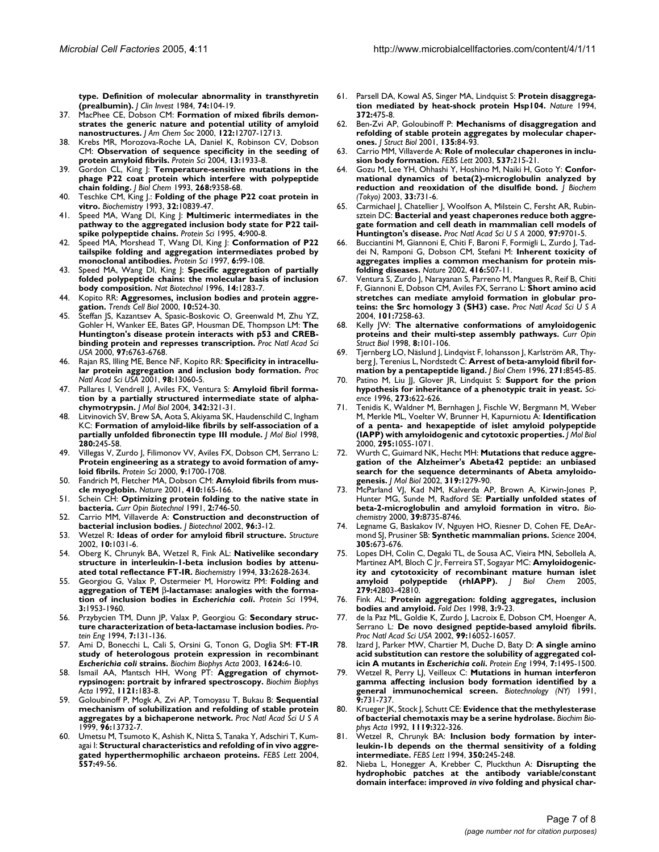**[type. Definition of molecular abnormality in transthyretin](http://www.ncbi.nlm.nih.gov/entrez/query.fcgi?cmd=Retrieve&db=PubMed&dopt=Abstract&list_uids=6736244) [\(prealbumin\).](http://www.ncbi.nlm.nih.gov/entrez/query.fcgi?cmd=Retrieve&db=PubMed&dopt=Abstract&list_uids=6736244)** *J Clin Invest* 1984, **74:**104-19.

- 37. MacPhee CE, Dobson CM: **Formation of mixed fibrils demonstrates the generic nature and potential utility of amyloid nanostructures.** *J Am Chem Soc* 2000, **122:**12707-12713.
- 38. Krebs MR, Morozova-Roche LA, Daniel K, Robinson CV, Dobson CM: **[Observation of sequence specificity in the seeding of](http://www.ncbi.nlm.nih.gov/entrez/query.fcgi?cmd=Retrieve&db=PubMed&dopt=Abstract&list_uids=15215533) [protein amyloid fibrils.](http://www.ncbi.nlm.nih.gov/entrez/query.fcgi?cmd=Retrieve&db=PubMed&dopt=Abstract&list_uids=15215533)** *Protein Sci* 2004, **13:**1933-8.
- 39. Gordon CL, King J: **[Temperature-sensitive mutations in the](http://www.ncbi.nlm.nih.gov/entrez/query.fcgi?cmd=Retrieve&db=PubMed&dopt=Abstract&list_uids=8486630)** [phage P22 coat protein which interfere with polypeptide](http://www.ncbi.nlm.nih.gov/entrez/query.fcgi?cmd=Retrieve&db=PubMed&dopt=Abstract&list_uids=8486630) **[chain folding.](http://www.ncbi.nlm.nih.gov/entrez/query.fcgi?cmd=Retrieve&db=PubMed&dopt=Abstract&list_uids=8486630)** *J Biol Chem* 1993, **268:**9358-68.
- 40. Teschke CM, King J.: **[Folding of the phage P22 coat protein in](http://www.ncbi.nlm.nih.gov/entrez/query.fcgi?cmd=Retrieve&db=PubMed&dopt=Abstract&list_uids=8399234) [vitro.](http://www.ncbi.nlm.nih.gov/entrez/query.fcgi?cmd=Retrieve&db=PubMed&dopt=Abstract&list_uids=8399234)** *Biochemistry* 1993, **32:**10839-47.
- 41. Speed MA, Wang DI, King J: **[Multimeric intermediates in the](http://www.ncbi.nlm.nih.gov/entrez/query.fcgi?cmd=Retrieve&db=PubMed&dopt=Abstract&list_uids=7663345) [pathway to the aggregated inclusion body state for P22 tail](http://www.ncbi.nlm.nih.gov/entrez/query.fcgi?cmd=Retrieve&db=PubMed&dopt=Abstract&list_uids=7663345)[spike polypeptide chains.](http://www.ncbi.nlm.nih.gov/entrez/query.fcgi?cmd=Retrieve&db=PubMed&dopt=Abstract&list_uids=7663345)** *Protein Sci* 1995, **4:**900-8.
- 42. Speed MA, Morshead T, Wang DI, King J: **[Conformation of P22](http://www.ncbi.nlm.nih.gov/entrez/query.fcgi?cmd=Retrieve&db=PubMed&dopt=Abstract&list_uids=9007981) [tailspike folding and aggregation intermediates probed by](http://www.ncbi.nlm.nih.gov/entrez/query.fcgi?cmd=Retrieve&db=PubMed&dopt=Abstract&list_uids=9007981) [monoclonal antibodies.](http://www.ncbi.nlm.nih.gov/entrez/query.fcgi?cmd=Retrieve&db=PubMed&dopt=Abstract&list_uids=9007981)** *Protein Sci* 1997, **6:**99-108.
- 43. Speed MA, Wang DI, King J: **[Specific aggregation of partially](http://www.ncbi.nlm.nih.gov/entrez/query.fcgi?cmd=Retrieve&db=PubMed&dopt=Abstract&list_uids=9631094) [folded polypeptide chains: the molecular basis of inclusion](http://www.ncbi.nlm.nih.gov/entrez/query.fcgi?cmd=Retrieve&db=PubMed&dopt=Abstract&list_uids=9631094) [body composition.](http://www.ncbi.nlm.nih.gov/entrez/query.fcgi?cmd=Retrieve&db=PubMed&dopt=Abstract&list_uids=9631094)** *Nat Biotechnol* 1996, **14:**1283-7.
- 44. Kopito RR: **[Aggresomes, inclusion bodies and protein aggre](http://www.ncbi.nlm.nih.gov/entrez/query.fcgi?cmd=Retrieve&db=PubMed&dopt=Abstract&list_uids=11121744)[gation.](http://www.ncbi.nlm.nih.gov/entrez/query.fcgi?cmd=Retrieve&db=PubMed&dopt=Abstract&list_uids=11121744)** *Trends Cell Biol* 2000, **10:**524-30.
- 45. Steffan JS, Kazantsev A, Spasic-Boskovic O, Greenwald M, Zhu YZ, Gohler H, Wanker EE, Bates GP, Housman DE, Thompson LM: **[The](http://www.ncbi.nlm.nih.gov/entrez/query.fcgi?cmd=Retrieve&db=PubMed&dopt=Abstract&list_uids=10823891) [Huntington's disease protein interacts with p53 and CREB](http://www.ncbi.nlm.nih.gov/entrez/query.fcgi?cmd=Retrieve&db=PubMed&dopt=Abstract&list_uids=10823891)[binding protein and represses transcription.](http://www.ncbi.nlm.nih.gov/entrez/query.fcgi?cmd=Retrieve&db=PubMed&dopt=Abstract&list_uids=10823891)** *Proc Natl Acad Sci USA* 2000, **97:**6763-6768.
- 46. Rajan RS, Illing ME, Bence NF, Kopito RR: **[Specificity in intracellu](http://www.ncbi.nlm.nih.gov/entrez/query.fcgi?cmd=Retrieve&db=PubMed&dopt=Abstract&list_uids=11687604)[lar protein aggregation and inclusion body formation.](http://www.ncbi.nlm.nih.gov/entrez/query.fcgi?cmd=Retrieve&db=PubMed&dopt=Abstract&list_uids=11687604)** *Proc Natl Acad Sci USA* 2001, **98:**13060-5.
- 47. Pallares I, Vendrell J, Aviles FX, Ventura S: **[Amyloid fibril forma](http://www.ncbi.nlm.nih.gov/entrez/query.fcgi?cmd=Retrieve&db=PubMed&dopt=Abstract&list_uids=15313627)[tion by a partially structured intermediate state of alpha](http://www.ncbi.nlm.nih.gov/entrez/query.fcgi?cmd=Retrieve&db=PubMed&dopt=Abstract&list_uids=15313627)[chymotrypsin.](http://www.ncbi.nlm.nih.gov/entrez/query.fcgi?cmd=Retrieve&db=PubMed&dopt=Abstract&list_uids=15313627)** *J Mol Biol* 2004, **342:**321-31.
- Litvinovich SV, Brew SA, Aota S, Akiyama SK, Haudenschild C, Ingham KC: **[Formation of amyloid-like fibrils by self-association of a](http://www.ncbi.nlm.nih.gov/entrez/query.fcgi?cmd=Retrieve&db=PubMed&dopt=Abstract&list_uids=9654449) [partially unfolded fibronectin type III module.](http://www.ncbi.nlm.nih.gov/entrez/query.fcgi?cmd=Retrieve&db=PubMed&dopt=Abstract&list_uids=9654449)** *J Mol Biol* 1998, **280:**245-58.
- 49. Villegas V, Zurdo J, Filimonov VV, Aviles FX, Dobson CM, Serrano L: **[Protein engineering as a strategy to avoid formation of amy](http://www.ncbi.nlm.nih.gov/entrez/query.fcgi?cmd=Retrieve&db=PubMed&dopt=Abstract&list_uids=11045616)[loid fibrils.](http://www.ncbi.nlm.nih.gov/entrez/query.fcgi?cmd=Retrieve&db=PubMed&dopt=Abstract&list_uids=11045616)** *Protein Sci* 2000, **9:**1700-1708.
- 50. Fandrich M, Fletcher MA, Dobson CM: **[Amyloid fibrils from mus](http://www.ncbi.nlm.nih.gov/entrez/query.fcgi?cmd=Retrieve&db=PubMed&dopt=Abstract&list_uids=11242064)[cle myoglobin.](http://www.ncbi.nlm.nih.gov/entrez/query.fcgi?cmd=Retrieve&db=PubMed&dopt=Abstract&list_uids=11242064)** *Nature* 2001, **410:**165-166.
- 51. Schein CH: **[Optimizing protein folding to the native state in](http://www.ncbi.nlm.nih.gov/entrez/query.fcgi?cmd=Retrieve&db=PubMed&dopt=Abstract&list_uids=1367729) [bacteria.](http://www.ncbi.nlm.nih.gov/entrez/query.fcgi?cmd=Retrieve&db=PubMed&dopt=Abstract&list_uids=1367729)** *Curr Opin Biotechnol* 1991, **2:**746-50.
- 52. Carrio MM, Villaverde A: **[Construction and deconstruction of](http://www.ncbi.nlm.nih.gov/entrez/query.fcgi?cmd=Retrieve&db=PubMed&dopt=Abstract&list_uids=12142138) [bacterial inclusion bodies.](http://www.ncbi.nlm.nih.gov/entrez/query.fcgi?cmd=Retrieve&db=PubMed&dopt=Abstract&list_uids=12142138)** *J Biotechnol* 2002, **96:**3-12.
- 53. Wetzel R: **[Ideas of order for amyloid fibril structure.](http://www.ncbi.nlm.nih.gov/entrez/query.fcgi?cmd=Retrieve&db=PubMed&dopt=Abstract&list_uids=12176381)** *Structure* 2002, **10:**1031-6.
- 54. Oberg K, Chrunyk BA, Wetzel R, Fink AL: **[Nativelike secondary](http://www.ncbi.nlm.nih.gov/entrez/query.fcgi?cmd=Retrieve&db=PubMed&dopt=Abstract&list_uids=8117725) [structure in interleukin-1-beta inclusion bodies by attenu](http://www.ncbi.nlm.nih.gov/entrez/query.fcgi?cmd=Retrieve&db=PubMed&dopt=Abstract&list_uids=8117725)[ated total reflectance FT-IR.](http://www.ncbi.nlm.nih.gov/entrez/query.fcgi?cmd=Retrieve&db=PubMed&dopt=Abstract&list_uids=8117725)** *Biochemistry* 1994, **33:**2628-2634.
- 55. Georgiou G, Valax P, Ostermeier M, Horowitz PM: **Folding and aggregation of TEM** β**-lactamase: analogies with the formation of inclusion bodies in** *Escherichia coli***[.](http://www.ncbi.nlm.nih.gov/entrez/query.fcgi?cmd=Retrieve&db=PubMed&dopt=Abstract&list_uids=7703842)** *Protein Sci* 1994, **3:**1953-1960.
- 56. Przybycien TM, Dunn JP, Valax P, Georgiou G: **[Secondary struc](http://www.ncbi.nlm.nih.gov/entrez/query.fcgi?cmd=Retrieve&db=PubMed&dopt=Abstract&list_uids=8140090)[ture characterization of beta-lactamase inclusion bodies.](http://www.ncbi.nlm.nih.gov/entrez/query.fcgi?cmd=Retrieve&db=PubMed&dopt=Abstract&list_uids=8140090)** *Protein Eng* 1994, **7:**131-136.
- <span id="page-6-0"></span>57. Ami D, Bonecchi L, Cali S, Orsini G, Tonon G, Doglia SM: **FT-IR study of heterologous protein expression in recombinant** *Escherichia coli* **[strains.](http://www.ncbi.nlm.nih.gov/entrez/query.fcgi?cmd=Retrieve&db=PubMed&dopt=Abstract&list_uids=14642807)** *Biochim Biophys Acta* 2003, **1624:**6-10.
- 58. Ismail AA, Mantsch HH, Wong PT: **[Aggregation of chymot](http://www.ncbi.nlm.nih.gov/entrez/query.fcgi?cmd=Retrieve&db=PubMed&dopt=Abstract&list_uids=1599940)[rypsinogen: portrait by infrared spectroscopy.](http://www.ncbi.nlm.nih.gov/entrez/query.fcgi?cmd=Retrieve&db=PubMed&dopt=Abstract&list_uids=1599940)** *Biochim Biophys Acta* 1992, **1121:**183-8.
- 59. Goloubinoff P, Mogk A, Zvi AP, Tomoyasu T, Bukau B: **[Sequential](http://www.ncbi.nlm.nih.gov/entrez/query.fcgi?cmd=Retrieve&db=PubMed&dopt=Abstract&list_uids=10570141) [mechanism of solubilization and refolding of stable protein](http://www.ncbi.nlm.nih.gov/entrez/query.fcgi?cmd=Retrieve&db=PubMed&dopt=Abstract&list_uids=10570141) [aggregates by a bichaperone network.](http://www.ncbi.nlm.nih.gov/entrez/query.fcgi?cmd=Retrieve&db=PubMed&dopt=Abstract&list_uids=10570141)** *Proc Natl Acad Sci U S A* 1999, **96:**13732-7.
- 60. Umetsu M, Tsumoto K, Ashish K, Nitta S, Tanaka Y, Adschiri T, Kumagai I: **[Structural characteristics and refolding of in vivo aggre](http://www.ncbi.nlm.nih.gov/entrez/query.fcgi?cmd=Retrieve&db=PubMed&dopt=Abstract&list_uids=14741340)[gated hyperthermophilic archaeon proteins.](http://www.ncbi.nlm.nih.gov/entrez/query.fcgi?cmd=Retrieve&db=PubMed&dopt=Abstract&list_uids=14741340)** *FEBS Lett* 2004, **557:**49-56.
- 61. Parsell DA, Kowal AS, Singer MA, Lindquist S: **[Protein disaggrega](http://www.ncbi.nlm.nih.gov/entrez/query.fcgi?cmd=Retrieve&db=PubMed&dopt=Abstract&list_uids=7984243)[tion mediated by heat-shock protein Hsp104.](http://www.ncbi.nlm.nih.gov/entrez/query.fcgi?cmd=Retrieve&db=PubMed&dopt=Abstract&list_uids=7984243)** *Nature* 1994, **372:**475-8.
- 62. Ben-Zvi AP, Goloubinoff P: **[Mechanisms of disaggregation and](http://www.ncbi.nlm.nih.gov/entrez/query.fcgi?cmd=Retrieve&db=PubMed&dopt=Abstract&list_uids=11580258) [refolding of stable protein aggregates by molecular chaper](http://www.ncbi.nlm.nih.gov/entrez/query.fcgi?cmd=Retrieve&db=PubMed&dopt=Abstract&list_uids=11580258)[ones.](http://www.ncbi.nlm.nih.gov/entrez/query.fcgi?cmd=Retrieve&db=PubMed&dopt=Abstract&list_uids=11580258)** *J Struct Biol* 2001, **135:**84-93.
- 63. Carrio MM, Villaverde A: **[Role of molecular chaperones in inclu](http://www.ncbi.nlm.nih.gov/entrez/query.fcgi?cmd=Retrieve&db=PubMed&dopt=Abstract&list_uids=12606060)[sion body formation.](http://www.ncbi.nlm.nih.gov/entrez/query.fcgi?cmd=Retrieve&db=PubMed&dopt=Abstract&list_uids=12606060)** *FEBS Lett* 2003, **537:**215-21.
- 64. Gozu M, Lee YH, Ohhashi Y, Hoshino M, Naiki H, Goto Y: **Conformational dynamics of beta(2)-microglobulin analyzed by reduction and reoxidation of the disulfide bond.** *J Biochem (Tokyo)* 2003, **33:**731-6.
- 65. Carmichael J, Chatellier J, Woolfson A, Milstein C, Fersht AR, Rubinsztein DC: **[Bacterial and yeast chaperones reduce both aggre](http://www.ncbi.nlm.nih.gov/entrez/query.fcgi?cmd=Retrieve&db=PubMed&dopt=Abstract&list_uids=10920207)[gate formation and cell death in mammalian cell models of](http://www.ncbi.nlm.nih.gov/entrez/query.fcgi?cmd=Retrieve&db=PubMed&dopt=Abstract&list_uids=10920207) [Huntington's disease.](http://www.ncbi.nlm.nih.gov/entrez/query.fcgi?cmd=Retrieve&db=PubMed&dopt=Abstract&list_uids=10920207)** *Proc Natl Acad Sci U S A* 2000, **97:**9701-5.
- Bucciantini M, Giannoni E, Chiti F, Baroni F, Formigli L, Zurdo J, Taddei N, Ramponi G, Dobson CM, Stefani M: **[Inherent toxicity of](http://www.ncbi.nlm.nih.gov/entrez/query.fcgi?cmd=Retrieve&db=PubMed&dopt=Abstract&list_uids=11932737) [aggregates implies a common mechanism for protein mis](http://www.ncbi.nlm.nih.gov/entrez/query.fcgi?cmd=Retrieve&db=PubMed&dopt=Abstract&list_uids=11932737)[folding diseases.](http://www.ncbi.nlm.nih.gov/entrez/query.fcgi?cmd=Retrieve&db=PubMed&dopt=Abstract&list_uids=11932737)** *Nature* 2002, **416:**507-11.
- 67. Ventura S, Zurdo J, Narayanan S, Parreno M, Mangues R, Reif B, Chiti F, Giannoni E, Dobson CM, Aviles FX, Serrano L: **[Short amino acid](http://www.ncbi.nlm.nih.gov/entrez/query.fcgi?cmd=Retrieve&db=PubMed&dopt=Abstract&list_uids=15123800) [stretches can mediate amyloid formation in globular pro](http://www.ncbi.nlm.nih.gov/entrez/query.fcgi?cmd=Retrieve&db=PubMed&dopt=Abstract&list_uids=15123800)[teins: the Src homology 3 \(SH3\) case.](http://www.ncbi.nlm.nih.gov/entrez/query.fcgi?cmd=Retrieve&db=PubMed&dopt=Abstract&list_uids=15123800)** *Proc Natl Acad Sci U S A* 2004, **101:**7258-63.
- 68. Kelly JW: **[The alternative conformations of amyloidogenic](http://www.ncbi.nlm.nih.gov/entrez/query.fcgi?cmd=Retrieve&db=PubMed&dopt=Abstract&list_uids=9519302) [proteins and their multi-step assembly pathways.](http://www.ncbi.nlm.nih.gov/entrez/query.fcgi?cmd=Retrieve&db=PubMed&dopt=Abstract&list_uids=9519302)** *Curr Opin Struct Biol* 1998, **8:**101-106.
- 69. Tjernberg LO, Näslund J, Lindqvist F, Iohansson J, Karlström AR, Thyberg J, Terenius L, Nordstedt C: **[Arrest of beta-amyloid fibril for](http://www.ncbi.nlm.nih.gov/entrez/query.fcgi?cmd=Retrieve&db=PubMed&dopt=Abstract&list_uids=8621479)[mation by a pentapeptide ligand.](http://www.ncbi.nlm.nih.gov/entrez/query.fcgi?cmd=Retrieve&db=PubMed&dopt=Abstract&list_uids=8621479)** *J Biol Chem* 1996, **271:**8545-85.
- 70. Patino M, Liu JJ, Glover JR, Lindquist S: **[Support for the prion](http://www.ncbi.nlm.nih.gov/entrez/query.fcgi?cmd=Retrieve&db=PubMed&dopt=Abstract&list_uids=8662547) [hypothesis for inheritance of a phenotypic trait in yeast.](http://www.ncbi.nlm.nih.gov/entrez/query.fcgi?cmd=Retrieve&db=PubMed&dopt=Abstract&list_uids=8662547)** *Science* 1996, **273:**622-626.
- 71. Tenidis K, Waldner M, Bernhagen J, Fischle W, Bergmann M, Weber M, Merkle ML, Voelter W, Brunner H, Kapurniotu A: **[Identification](http://www.ncbi.nlm.nih.gov/entrez/query.fcgi?cmd=Retrieve&db=PubMed&dopt=Abstract&list_uids=10656810) [of a penta- and hexapeptide of islet amyloid polypeptide](http://www.ncbi.nlm.nih.gov/entrez/query.fcgi?cmd=Retrieve&db=PubMed&dopt=Abstract&list_uids=10656810) [\(IAPP\) with amyloidogenic and cytotoxic properties.](http://www.ncbi.nlm.nih.gov/entrez/query.fcgi?cmd=Retrieve&db=PubMed&dopt=Abstract&list_uids=10656810)** *J Mol Biol* 2000, **295:**1055-1071.
- 72. Wurth C, Guimard NK, Hecht MH: **[Mutations that reduce aggre](http://www.ncbi.nlm.nih.gov/entrez/query.fcgi?cmd=Retrieve&db=PubMed&dopt=Abstract&list_uids=12079364)[gation of the Alzheimer's Abeta42 peptide: an unbiased](http://www.ncbi.nlm.nih.gov/entrez/query.fcgi?cmd=Retrieve&db=PubMed&dopt=Abstract&list_uids=12079364) search for the sequence determinants of Abeta amyloido[genesis.](http://www.ncbi.nlm.nih.gov/entrez/query.fcgi?cmd=Retrieve&db=PubMed&dopt=Abstract&list_uids=12079364)** *J Mol Biol* 2002, **319:**1279-90.
- 73. McParland VJ, Kad NM, Kalverda AP, Brown A, Kirwin-Jones P, Hunter MG, Sunde M, Radford SE: **[Partially unfolded states of](http://www.ncbi.nlm.nih.gov/entrez/query.fcgi?cmd=Retrieve&db=PubMed&dopt=Abstract&list_uids=10913285) [beta-2-microglobulin and amyloid formation in vitro.](http://www.ncbi.nlm.nih.gov/entrez/query.fcgi?cmd=Retrieve&db=PubMed&dopt=Abstract&list_uids=10913285)** *Biochemistry* 2000, **39:**8735-8746.
- 74. Legname G, Baskakov IV, Nguyen HO, Riesner D, Cohen FE, DeArmond SJ, Prusiner SB: **[Synthetic mammalian prions.](http://www.ncbi.nlm.nih.gov/entrez/query.fcgi?cmd=Retrieve&db=PubMed&dopt=Abstract&list_uids=15286374)** *Science* 2004, **305:**673-676.
- 75. Lopes DH, Colin C, Degaki TL, de Sousa AC, Vieira MN, Sebollela A, Martinez AM, Bloch C Jr, Ferreira ST, Sogayar MC: **Amyloidogenicity and cytotoxicity of recombinant mature human islet amyloid polypeptide (rhIAPP).** *J Biol Chem* 2005, **279:**42803-42810.
- 76. Fink AL: **Protein aggregation: folding aggregates, inclusion bodies and amyloid.** *Fold Des* 1998, **3:**9-23.
- 77. de la Paz ML, Goldie K, Zurdo J, Lacroix E, Dobson CM, Hoenger A, Serrano L: **[De novo designed peptide-based amyloid fibrils.](http://www.ncbi.nlm.nih.gov/entrez/query.fcgi?cmd=Retrieve&db=PubMed&dopt=Abstract&list_uids=12456886)** *Proc Natl Acad Sci USA* 2002, **99:**16052-16057.
- 78. Izard J, Parker MW, Chartier M, Duche D, Baty D: **A single amino acid substitution can restore the solubility of aggregated colicin A mutants in** *Escherichia coli***[.](http://www.ncbi.nlm.nih.gov/entrez/query.fcgi?cmd=Retrieve&db=PubMed&dopt=Abstract&list_uids=7716161)** *Protein Eng* 1994, **7:**1495-1500.
- 79. Wetzel R, Perry LJ, Veilleux C: **Mutations in human interferon gamma affecting inclusion body formation identified by a general immunochemical screen.** *Biotechnology (NY)* 1991, **9:**731-737.
- 80. Krueger JK, Stock J, Schutt CE: **[Evidence that the methylesterase](http://www.ncbi.nlm.nih.gov/entrez/query.fcgi?cmd=Retrieve&db=PubMed&dopt=Abstract&list_uids=1547277) [of bacterial chemotaxis may be a serine hydrolase.](http://www.ncbi.nlm.nih.gov/entrez/query.fcgi?cmd=Retrieve&db=PubMed&dopt=Abstract&list_uids=1547277)** *Biochim Biophys Acta* 1992, **1119:**322-326.
- Wetzel R, Chrunyk BA: [Inclusion body formation by inter](http://www.ncbi.nlm.nih.gov/entrez/query.fcgi?cmd=Retrieve&db=PubMed&dopt=Abstract&list_uids=8070572)**[leukin-1b depends on the thermal sensitivity of a folding](http://www.ncbi.nlm.nih.gov/entrez/query.fcgi?cmd=Retrieve&db=PubMed&dopt=Abstract&list_uids=8070572) [intermediate.](http://www.ncbi.nlm.nih.gov/entrez/query.fcgi?cmd=Retrieve&db=PubMed&dopt=Abstract&list_uids=8070572)** *FEBS Lett* 1994, **350:**245-248.
- 82. Nieba L, Honegger A, Krebber C, Pluckthun A: **Disrupting the hydrophobic patches at the antibody variable/constant domain interface: improved** *in vivo* **[folding and physical char](http://www.ncbi.nlm.nih.gov/entrez/query.fcgi?cmd=Retrieve&db=PubMed&dopt=Abstract&list_uids=9194169)-**